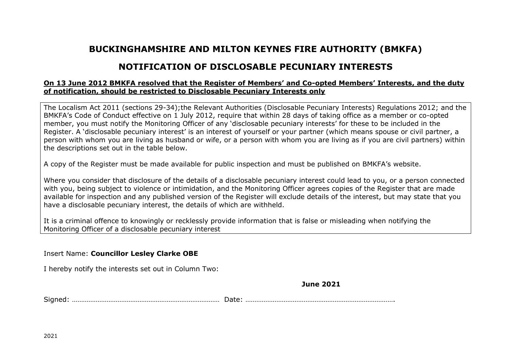## **BUCKINGHAMSHIRE AND MILTON KEYNES FIRE AUTHORITY (BMKFA)**

## **NOTIFICATION OF DISCLOSABLE PECUNIARY INTERESTS**

## **On 13 June 2012 BMKFA resolved that the Register of Members' and Co-opted Members' Interests, and the duty of notification, should be restricted to Disclosable Pecuniary Interests only**

The Localism Act 2011 (sections 29-34);the Relevant Authorities (Disclosable Pecuniary Interests) Regulations 2012; and the BMKFA's Code of Conduct effective on 1 July 2012, require that within 28 days of taking office as a member or co-opted member, you must notify the Monitoring Officer of any 'disclosable pecuniary interests' for these to be included in the Register. A 'disclosable pecuniary interest' is an interest of yourself or your partner (which means spouse or civil partner, a person with whom you are living as husband or wife, or a person with whom you are living as if you are civil partners) within the descriptions set out in the table below.

A copy of the Register must be made available for public inspection and must be published on BMKFA's website.

Where you consider that disclosure of the details of a disclosable pecuniary interest could lead to you, or a person connected with you, being subject to violence or intimidation, and the Monitoring Officer agrees copies of the Register that are made available for inspection and any published version of the Register will exclude details of the interest, but may state that you have a disclosable pecuniary interest, the details of which are withheld.

It is a criminal offence to knowingly or recklessly provide information that is false or misleading when notifying the Monitoring Officer of a disclosable pecuniary interest

Insert Name: **Councillor Lesley Clarke OBE**

I hereby notify the interests set out in Column Two:

**June 2021**

Signed: ……………………………………………………………………… Date: ……………………………………………………………………….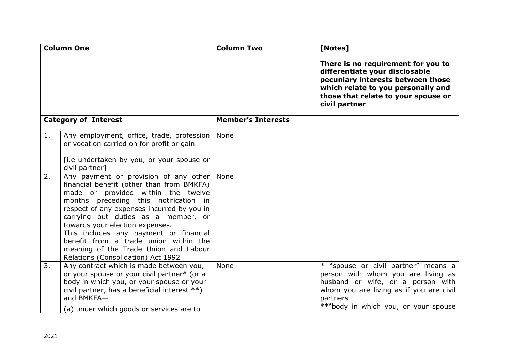| <b>Column One</b>           |                                                                                                                                                                                                                                                                                                                                                                                                                                                                    | <b>Column Two</b>         | [Notes]                                                                                                                                                                                                       |
|-----------------------------|--------------------------------------------------------------------------------------------------------------------------------------------------------------------------------------------------------------------------------------------------------------------------------------------------------------------------------------------------------------------------------------------------------------------------------------------------------------------|---------------------------|---------------------------------------------------------------------------------------------------------------------------------------------------------------------------------------------------------------|
|                             |                                                                                                                                                                                                                                                                                                                                                                                                                                                                    |                           | There is no requirement for you to<br>differentiate your disclosable<br>pecuniary interests between those<br>which relate to you personally and<br>those that relate to your spouse or<br>civil partner       |
| <b>Category of Interest</b> |                                                                                                                                                                                                                                                                                                                                                                                                                                                                    | <b>Member's Interests</b> |                                                                                                                                                                                                               |
| 1.                          | Any employment, office, trade, profession<br>or vocation carried on for profit or gain<br>[i.e undertaken by you, or your spouse or<br>civil partner]                                                                                                                                                                                                                                                                                                              | None                      |                                                                                                                                                                                                               |
| 2.                          | Any payment or provision of any other   None<br>financial benefit (other than from BMKFA)<br>made or provided within the twelve<br>months preceding this notification in<br>respect of any expenses incurred by you in<br>carrying out duties as a member, or<br>towards your election expenses.<br>This includes any payment or financial<br>benefit from a trade union within the<br>meaning of the Trade Union and Labour<br>Relations (Consolidation) Act 1992 |                           |                                                                                                                                                                                                               |
| 3.                          | Any contract which is made between you,<br>or your spouse or your civil partner* (or a<br>body in which you, or your spouse or your<br>civil partner, has a beneficial interest **)<br>and BMKFA-<br>(a) under which goods or services are to                                                                                                                                                                                                                      | None                      | * "spouse or civil partner" means a<br>person with whom you are living as<br>husband or wife, or a person with<br>whom you are living as if you are civil<br>partners<br>**"body in which you, or your spouse |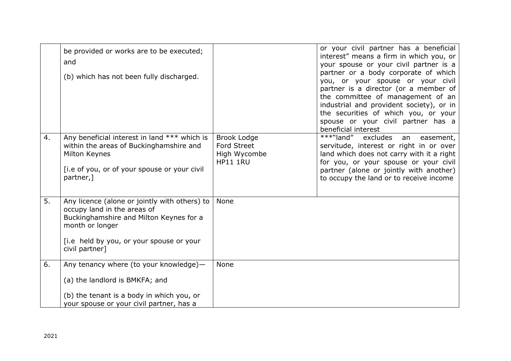|    | be provided or works are to be executed;<br>and<br>(b) which has not been fully discharged.                                                                                                              |                                                                      | or your civil partner has a beneficial<br>interest" means a firm in which you, or<br>your spouse or your civil partner is a<br>partner or a body corporate of which<br>you, or your spouse or your civil<br>partner is a director (or a member of<br>the committee of management of an<br>industrial and provident society), or in<br>the securities of which you, or your<br>spouse or your civil partner has a<br>beneficial interest |
|----|----------------------------------------------------------------------------------------------------------------------------------------------------------------------------------------------------------|----------------------------------------------------------------------|-----------------------------------------------------------------------------------------------------------------------------------------------------------------------------------------------------------------------------------------------------------------------------------------------------------------------------------------------------------------------------------------------------------------------------------------|
| 4. | Any beneficial interest in land *** which is<br>within the areas of Buckinghamshire and<br>Milton Keynes<br>[i.e of you, or of your spouse or your civil]<br>partner,]                                   | <b>Brook Lodge</b><br>Ford Street<br>High Wycombe<br><b>HP11 1RU</b> | $\overline{***}$ "land" excludes<br>easement,<br>an<br>servitude, interest or right in or over<br>land which does not carry with it a right<br>for you, or your spouse or your civil<br>partner (alone or jointly with another)<br>to occupy the land or to receive income                                                                                                                                                              |
| 5. | Any licence (alone or jointly with others) to<br>occupy land in the areas of<br>Buckinghamshire and Milton Keynes for a<br>month or longer<br>[i.e held by you, or your spouse or your<br>civil partner] | None                                                                 |                                                                                                                                                                                                                                                                                                                                                                                                                                         |
| 6. | Any tenancy where (to your knowledge)-<br>(a) the landlord is BMKFA; and<br>(b) the tenant is a body in which you, or<br>your spouse or your civil partner, has a                                        | <b>None</b>                                                          |                                                                                                                                                                                                                                                                                                                                                                                                                                         |